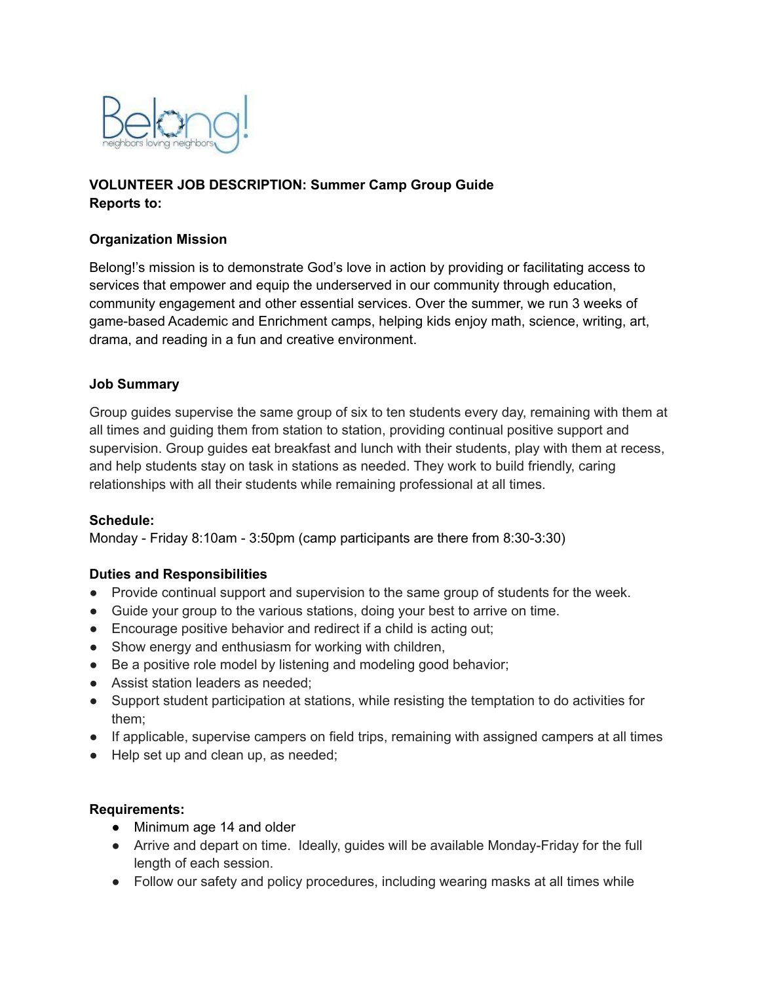

## **VOLUNTEER JOB DESCRIPTION: Summer Camp Group Guide Reports to:**

### **Organization Mission**

Belong!'s mission is to demonstrate God's love in action by providing or facilitating access to services that empower and equip the underserved in our community through education, community engagement and other essential services. Over the summer, we run 3 weeks of game-based Academic and Enrichment camps, helping kids enjoy math, science, writing, art, drama, and reading in a fun and creative environment.

### **Job Summary**

Group guides supervise the same group of six to ten students every day, remaining with them at all times and guiding them from station to station, providing continual positive support and supervision. Group guides eat breakfast and lunch with their students, play with them at recess, and help students stay on task in stations as needed. They work to build friendly, caring relationships with all their students while remaining professional at all times.

### **Schedule:**

Monday - Friday 8:10am - 3:50pm (camp participants are there from 8:30-3:30)

### **Duties and Responsibilities**

- Provide continual support and supervision to the same group of students for the week.
- Guide your group to the various stations, doing your best to arrive on time.
- Encourage positive behavior and redirect if a child is acting out;
- Show energy and enthusiasm for working with children,
- Be a positive role model by listening and modeling good behavior;
- Assist station leaders as needed;
- Support student participation at stations, while resisting the temptation to do activities for them;
- If applicable, supervise campers on field trips, remaining with assigned campers at all times
- Help set up and clean up, as needed;

### **Requirements:**

- Minimum age 14 and older
- Arrive and depart on time. Ideally, guides will be available Monday-Friday for the full length of each session.
- Follow our safety and policy procedures, including wearing masks at all times while